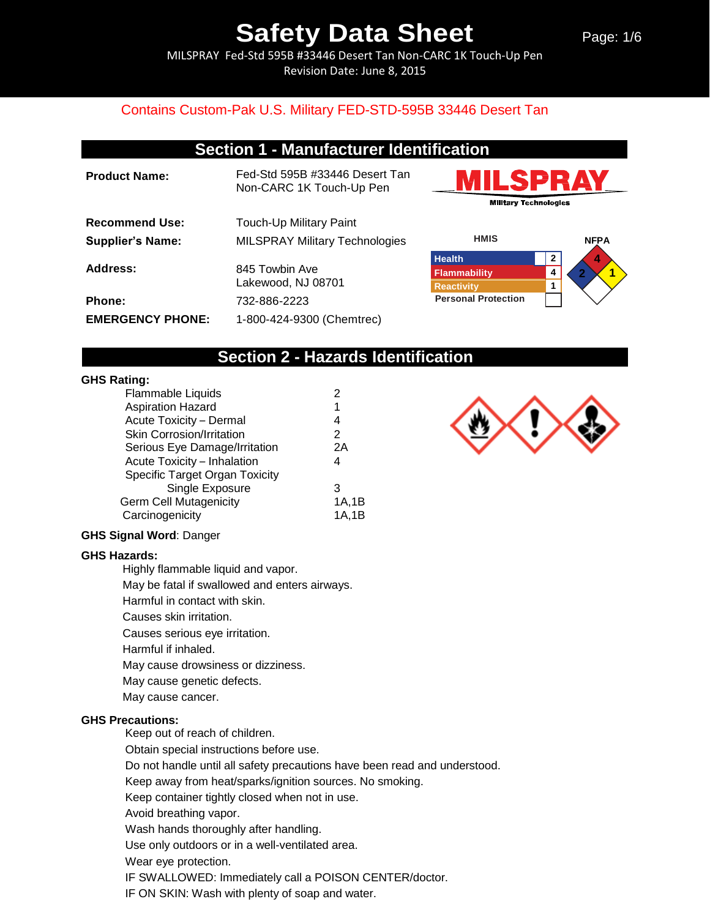Page: 1/6

MILSPRAY Fed-Std 595B #33446 Desert Tan Non-CARC 1K Touch-Up Pen Revision Date: June 8, 2015

#### Contains Custom-Pak U.S. Military FED-STD-595B 33446 Desert Tan

## **Section 1 - Manufacturer Identification**

| <b>Product Name:</b>    | Fed-Std 595B #33446 Desert Tan<br>Non-CARC 1K Touch-Up Pen |
|-------------------------|------------------------------------------------------------|
| <b>Recommend Use:</b>   | Touch-Up Military Paint                                    |
| <b>Supplier's Name:</b> | <b>MILSPRAY Military Technologies</b>                      |
| Address:                | 845 Towbin Ave<br>Lakewood, NJ 08701                       |
| <b>Phone:</b>           | 732-886-2223                                               |
| <b>EMERGENCY PHONE:</b> | 1-800-424-9300 (Chemtrec)                                  |





### **Section 2 - Hazards Identification**

#### **GHS Rating:**

| <b>Flammable Liquids</b>              | 2     |
|---------------------------------------|-------|
| <b>Aspiration Hazard</b>              | 1     |
| Acute Toxicity - Dermal               | 4     |
| <b>Skin Corrosion/Irritation</b>      | 2     |
| Serious Eye Damage/Irritation         | 2Α    |
| Acute Toxicity - Inhalation           | 4     |
| <b>Specific Target Organ Toxicity</b> |       |
| Single Exposure                       | 3     |
| <b>Germ Cell Mutagenicity</b>         | 1A.1B |
| Carcinogenicity                       | 1A.1B |
|                                       |       |

#### **GHS Signal Word**: Danger

#### **GHS Hazards:**

Highly flammable liquid and vapor.

May be fatal if swallowed and enters airways.

Harmful in contact with skin.

Causes skin irritation.

Causes serious eye irritation.

Harmful if inhaled.

May cause drowsiness or dizziness.

May cause genetic defects.

May cause cancer.

#### **GHS Precautions:**

Keep out of reach of children.

Obtain special instructions before use.

Do not handle until all safety precautions have been read and understood.

Keep away from heat/sparks/ignition sources. No smoking.

Keep container tightly closed when not in use.

Avoid breathing vapor.

Wash hands thoroughly after handling.

Use only outdoors or in a well-ventilated area.

Wear eye protection.

IF SWALLOWED: Immediately call a POISON CENTER/doctor.

IF ON SKIN: Wash with plenty of soap and water.

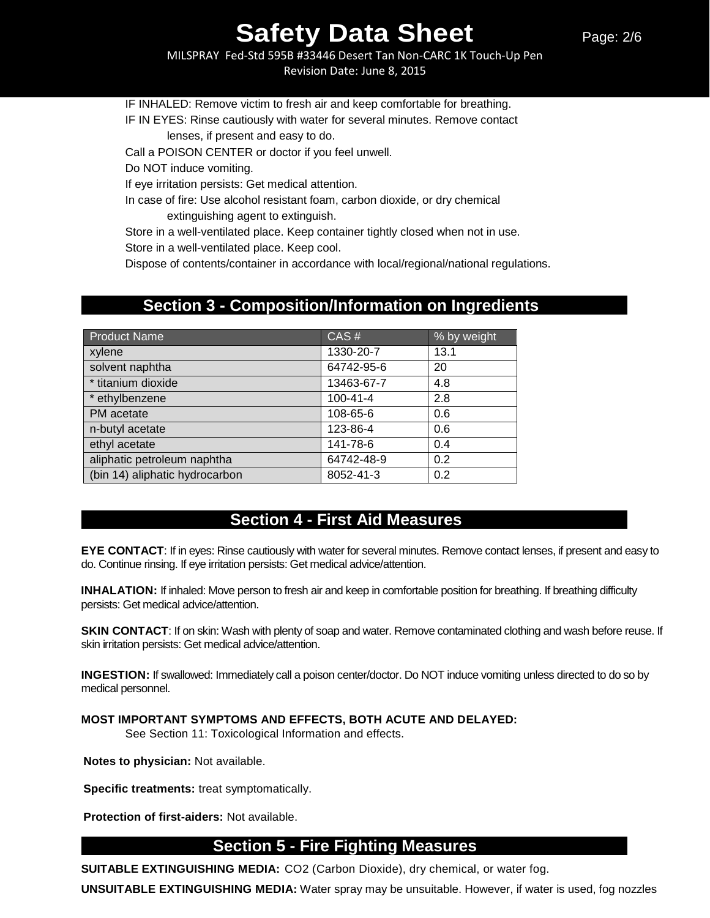MILSPRAY Fed-Std 595B #33446 Desert Tan Non-CARC 1K Touch-Up Pen Revision Date: June 8, 2015

IF INHALED: Remove victim to fresh air and keep comfortable for breathing.

IF IN EYES: Rinse cautiously with water for several minutes. Remove contact lenses, if present and easy to do.

Call a POISON CENTER or doctor if you feel unwell.

Do NOT induce vomiting.

If eye irritation persists: Get medical attention.

In case of fire: Use alcohol resistant foam, carbon dioxide, or dry chemical extinguishing agent to extinguish.

Store in a well-ventilated place. Keep container tightly closed when not in use.

Store in a well-ventilated place. Keep cool.

Dispose of contents/container in accordance with local/regional/national regulations.

### **Section 3 - Composition/Information on Ingredients**

| <b>Product Name</b>            | CAS#           | % by weight |
|--------------------------------|----------------|-------------|
| xylene                         | 1330-20-7      | 13.1        |
| solvent naphtha                | 64742-95-6     | 20          |
| * titanium dioxide             | 13463-67-7     | 4.8         |
| * ethylbenzene                 | $100 - 41 - 4$ | 2.8         |
| PM acetate                     | 108-65-6       | 0.6         |
| n-butyl acetate                | 123-86-4       | 0.6         |
| ethyl acetate                  | 141-78-6       | 0.4         |
| aliphatic petroleum naphtha    | 64742-48-9     | 0.2         |
| (bin 14) aliphatic hydrocarbon | 8052-41-3      | 0.2         |

## **Section 4 - First Aid Measures**

**EYE CONTACT**: If in eyes: Rinse cautiously with water for several minutes. Remove contact lenses, if present and easy to do. Continue rinsing. If eye irritation persists: Get medical advice/attention.

**INHALATION:** If inhaled: Move person to fresh air and keep in comfortable position for breathing. If breathing difficulty persists: Get medical advice/attention.

**SKIN CONTACT**: If on skin: Wash with plenty of soap and water. Remove contaminated clothing and wash before reuse. If skin irritation persists: Get medical advice/attention.

**INGESTION:** If swallowed: Immediately call a poison center/doctor. Do NOT induce vomiting unless directed to do so by medical personnel.

**MOST IMPORTANT SYMPTOMS AND EFFECTS, BOTH ACUTE AND DELAYED:** 

See Section 11: Toxicological Information and effects.

**Notes to physician:** Not available.

**Specific treatments:** treat symptomatically.

**Protection of first-aiders:** Not available.

#### **Section 5 - Fire Fighting Measures**

**SUITABLE EXTINGUISHING MEDIA:** CO2 (Carbon Dioxide), dry chemical, or water fog.

**UNSUITABLE EXTINGUISHING MEDIA:** Water spray may be unsuitable. However, if water is used, fog nozzles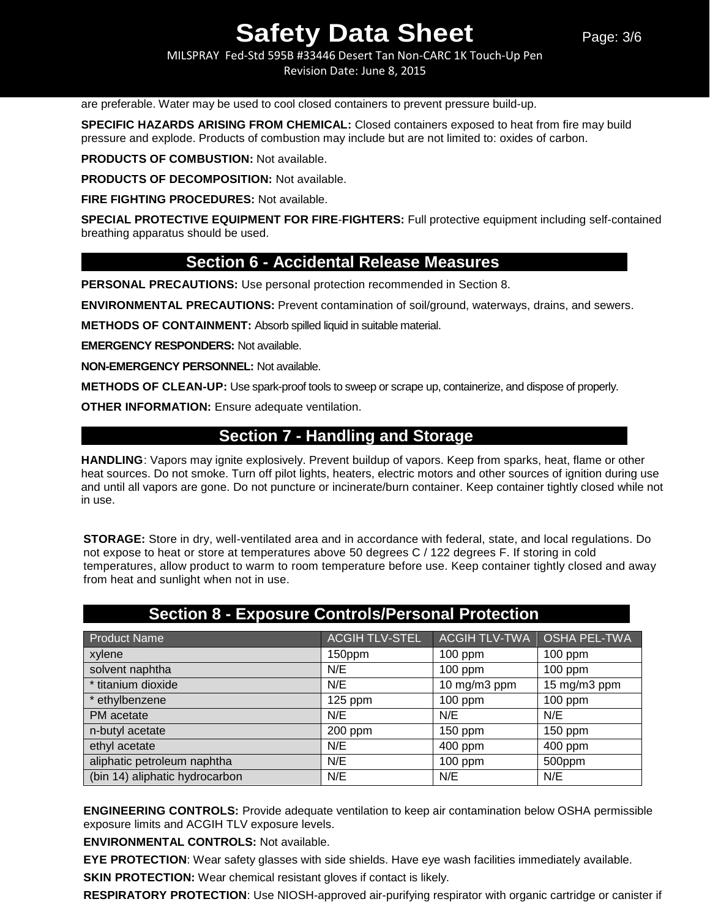MILSPRAY Fed-Std 595B #33446 Desert Tan Non-CARC 1K Touch-Up Pen Revision Date: June 8, 2015

are preferable. Water may be used to cool closed containers to prevent pressure build-up.

**SPECIFIC HAZARDS ARISING FROM CHEMICAL:** Closed containers exposed to heat from fire may build pressure and explode. Products of combustion may include but are not limited to: oxides of carbon.

**PRODUCTS OF COMBUSTION:** Not available.

**PRODUCTS OF DECOMPOSITION:** Not available.

**FIRE FIGHTING PROCEDURES:** Not available.

**SPECIAL PROTECTIVE EQUIPMENT FOR FIRE**-**FIGHTERS:** Full protective equipment including self-contained breathing apparatus should be used.

#### **Section 6 - Accidental Release Measures**

**PERSONAL PRECAUTIONS:** Use personal protection recommended in Section 8.

**ENVIRONMENTAL PRECAUTIONS:** Prevent contamination of soil/ground, waterways, drains, and sewers.

**METHODS OF CONTAINMENT:** Absorb spilled liquid in suitable material.

**EMERGENCY RESPONDERS:** Not available.

**NON-EMERGENCY PERSONNEL:** Not available.

**METHODS OF CLEAN-UP:** Use spark-proof tools to sweep or scrape up, containerize, and dispose of properly.

**OTHER INFORMATION:** Ensure adequate ventilation.

## **Section 7 - Handling and Storage**

**HANDLING**: Vapors may ignite explosively. Prevent buildup of vapors. Keep from sparks, heat, flame or other heat sources. Do not smoke. Turn off pilot lights, heaters, electric motors and other sources of ignition during use and until all vapors are gone. Do not puncture or incinerate/burn container. Keep container tightly closed while not in use.

**STORAGE:** Store in dry, well-ventilated area and in accordance with federal, state, and local regulations. Do not expose to heat or store at temperatures above 50 degrees C / 122 degrees F. If storing in cold temperatures, allow product to warm to room temperature before use. Keep container tightly closed and away from heat and sunlight when not in use.

| <b>Product Name</b>            | <b>ACGIH TLV-STEL</b> | ACGIH TLV-TWA   OSHA PEL-TWA |              |
|--------------------------------|-----------------------|------------------------------|--------------|
| xylene                         | 150ppm                | $100$ ppm                    | $100$ ppm    |
| solvent naphtha                | N/E                   | 100 ppm                      | $100$ ppm    |
| * titanium dioxide             | N/E                   | 10 mg/m3 ppm                 | 15 mg/m3 ppm |
| * ethylbenzene                 | $125$ ppm             | $100$ ppm                    | $100$ ppm    |
| PM acetate                     | N/E                   | N/E                          | N/E          |
| n-butyl acetate                | 200 ppm               | 150 ppm                      | $150$ ppm    |
| ethyl acetate                  | N/E                   | 400 ppm                      | 400 ppm      |
| aliphatic petroleum naphtha    | N/E                   | $100$ ppm                    | 500ppm       |
| (bin 14) aliphatic hydrocarbon | N/E                   | N/E                          | N/E          |

### **Section 8 - Exposure Controls/Personal Protection**

**ENGINEERING CONTROLS:** Provide adequate ventilation to keep air contamination below OSHA permissible exposure limits and ACGIH TLV exposure levels.

**ENVIRONMENTAL CONTROLS:** Not available.

**EYE PROTECTION**: Wear safety glasses with side shields. Have eye wash facilities immediately available.

**SKIN PROTECTION:** Wear chemical resistant gloves if contact is likely.

**RESPIRATORY PROTECTION**: Use NIOSH-approved air-purifying respirator with organic cartridge or canister if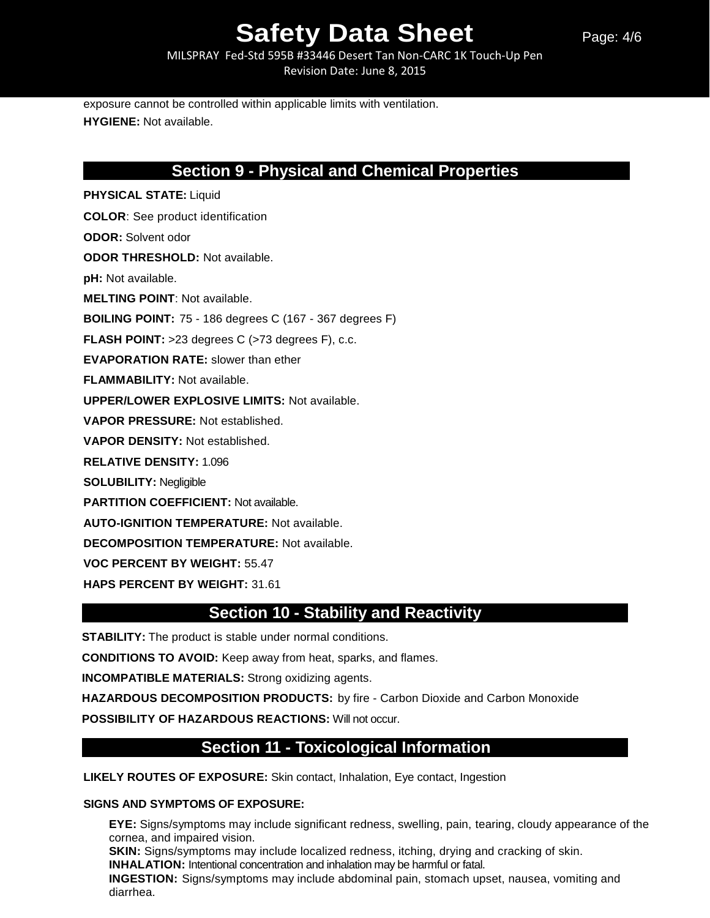Page: 4/6

MILSPRAY Fed-Std 595B #33446 Desert Tan Non-CARC 1K Touch-Up Pen Revision Date: June 8, 2015

exposure cannot be controlled within applicable limits with ventilation. **HYGIENE:** Not available.

## **Section 9 - Physical and Chemical Properties**

**PHYSICAL STATE:** Liquid **COLOR**: See product identification **ODOR:** Solvent odor **ODOR THRESHOLD:** Not available. **pH:** Not available. **MELTING POINT**: Not available. **BOILING POINT:** 75 - 186 degrees C (167 - 367 degrees F) **FLASH POINT:** >23 degrees C (>73 degrees F), c.c. **EVAPORATION RATE:** slower than ether **FLAMMABILITY:** Not available. **UPPER/LOWER EXPLOSIVE LIMITS:** Not available. **VAPOR PRESSURE:** Not established. **VAPOR DENSITY:** Not established. **RELATIVE DENSITY:** 1.096 **SOLUBILITY:** Negligible **PARTITION COEFFICIENT:** Not available. **AUTO-IGNITION TEMPERATURE:** Not available. **DECOMPOSITION TEMPERATURE:** Not available. **VOC PERCENT BY WEIGHT:** 55.47

**HAPS PERCENT BY WEIGHT:** 31.61

## **Section 10 - Stability and Reactivity**

**STABILITY:** The product is stable under normal conditions.

**CONDITIONS TO AVOID:** Keep away from heat, sparks, and flames.

**INCOMPATIBLE MATERIALS:** Strong oxidizing agents.

**HAZARDOUS DECOMPOSITION PRODUCTS:** by fire - Carbon Dioxide and Carbon Monoxide

**POSSIBILITY OF HAZARDOUS REACTIONS:** Will not occur.

## **Section 11 - Toxicological Information**

**LIKELY ROUTES OF EXPOSURE:** Skin contact, Inhalation, Eye contact, Ingestion

#### **SIGNS AND SYMPTOMS OF EXPOSURE:**

diarrhea.

**EYE:** Signs/symptoms may include significant redness, swelling, pain, tearing, cloudy appearance of the cornea, and impaired vision. **SKIN:** Signs/symptoms may include localized redness, itching, drying and cracking of skin. **INHALATION:** Intentional concentration and inhalation may be harmful or fatal. **INGESTION:** Signs/symptoms may include abdominal pain, stomach upset, nausea, vomiting and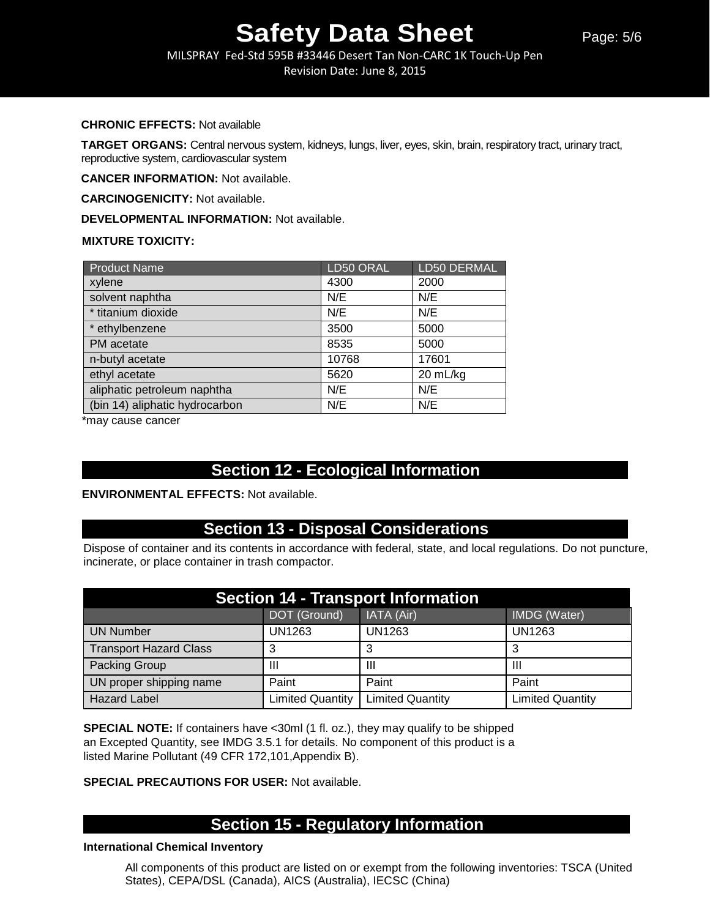MILSPRAY Fed-Std 595B #33446 Desert Tan Non-CARC 1K Touch-Up Pen Revision Date: June 8, 2015

#### **CHRONIC EFFECTS:** Not available

**TARGET ORGANS:** Central nervous system, kidneys, lungs, liver, eyes, skin, brain, respiratory tract, urinary tract, reproductive system, cardiovascular system

**CANCER INFORMATION:** Not available.

**CARCINOGENICITY:** Not available.

**DEVELOPMENTAL INFORMATION:** Not available.

#### **MIXTURE TOXICITY:**

| <b>Product Name</b>            | LD50 ORAL | <b>LD50 DERMAL</b> |
|--------------------------------|-----------|--------------------|
| xylene                         | 4300      | 2000               |
| solvent naphtha                | N/E       | N/E                |
| * titanium dioxide             | N/E       | N/E                |
| * ethylbenzene                 | 3500      | 5000               |
| PM acetate                     | 8535      | 5000               |
| n-butyl acetate                | 10768     | 17601              |
| ethyl acetate                  | 5620      | 20 mL/kg           |
| aliphatic petroleum naphtha    | N/E       | N/E                |
| (bin 14) aliphatic hydrocarbon | N/E       | N/E                |

\*may cause cancer

## **Section 12 - Ecological Information**

#### **ENVIRONMENTAL EFFECTS:** Not available.

## **Section 13 - Disposal Considerations**

Dispose of container and its contents in accordance with federal, state, and local regulations. Do not puncture, incinerate, or place container in trash compactor.

| <b>Section 14 - Transport Information</b> |                         |                         |                         |  |
|-------------------------------------------|-------------------------|-------------------------|-------------------------|--|
|                                           | DOT (Ground)            | IATA (Air)              | IMDG (Water)            |  |
| <b>UN Number</b>                          | UN1263                  | UN1263                  | <b>UN1263</b>           |  |
| <b>Transport Hazard Class</b>             |                         |                         |                         |  |
| Packing Group                             | Ш                       | Ш                       | Ш                       |  |
| UN proper shipping name                   | Paint                   | Paint                   | Paint                   |  |
| <b>Hazard Label</b>                       | <b>Limited Quantity</b> | <b>Limited Quantity</b> | <b>Limited Quantity</b> |  |

**SPECIAL NOTE:** If containers have <30ml (1 fl. oz.), they may qualify to be shipped an Excepted Quantity, see IMDG 3.5.1 for details. No component of this product is a listed Marine Pollutant (49 CFR 172,101,Appendix B).

#### **SPECIAL PRECAUTIONS FOR USER:** Not available.

## **Section 15 - Regulatory Information**

#### **International Chemical Inventory**

All components of this product are listed on or exempt from the following inventories: TSCA (United States), CEPA/DSL (Canada), AICS (Australia), IECSC (China)